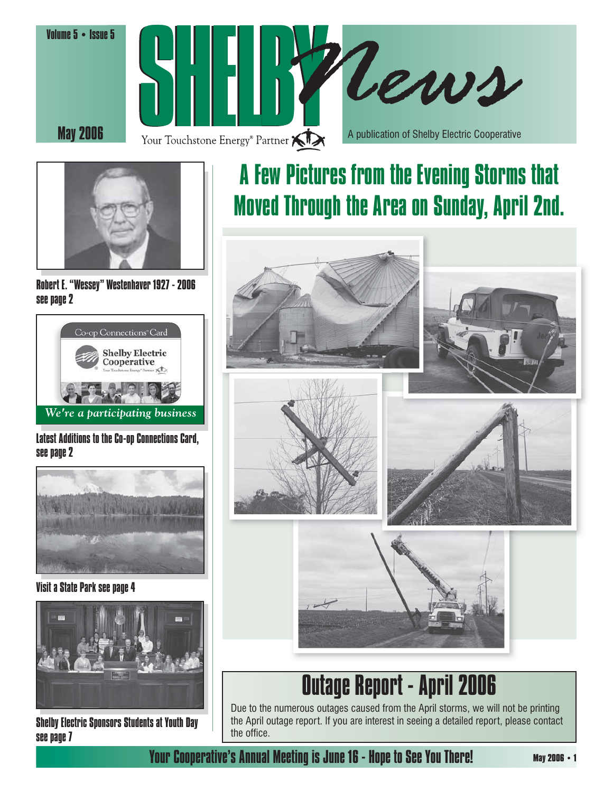





Robert E. "Wessey" Westenhaver 1927 - 2006 see page 2



### Latest Additions to the Co-op Connections Card, see page 2



Visit a State Park see page 4



Shelby Electric Sponsors Students at Youth Day see page 7

## A Few Pictures from the Evening Storms that Moved Through the Area on Sunday, April 2nd.



## Outage Report - April 2006

Due to the numerous outages caused from the April storms, we will not be printing the April outage report. If you are interest in seeing a detailed report, please contact the office.

### Your Cooperative's Annual Meeting is June 16 - Hope to See You There!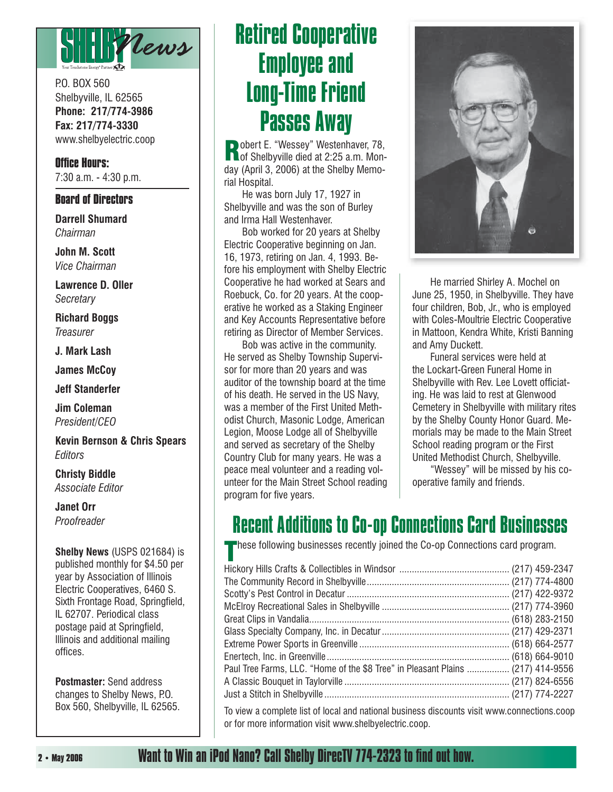

P.O. BOX 560 Shelbyville, IL 62565 **Phone: 217/774-3986 Fax: 217/774-3330** www.shelbyelectric.coop

**Office Hours:** 7:30 a.m. - 4:30 p.m.

### **Board of Directors**

**Darrell Shumard** *Chairman*

**John M. Scott** *Vice Chairman*

**Lawrence D. Oller** *Secretary*

**Richard Boggs** *Treasurer*

**J. Mark Lash**

**James McCoy**

**Jeff Standerfer**

**Jim Coleman** *President/CEO*

**Kevin Bernson & Chris Spears** *Editors*

**Christy Biddle** *Associate Editor*

**Janet Orr** *Proofreader*

**Shelby News** (USPS 021684) is published monthly for \$4.50 per year by Association of Illinois Electric Cooperatives, 6460 S. Sixth Frontage Road, Springfield, IL 62707. Periodical class postage paid at Springfield, Illinois and additional mailing offices.

**Postmaster:** Send address changes to Shelby News, P.O. Box 560, Shelbyville, IL 62565.

## Retired Cooperative Employee and Long-Time Friend Passes Away

**Robert E. "Wessey" Westenhaver, 78, and Shelbyville died at 2:25 a.m. Mon**day (April 3, 2006) at the Shelby Memorial Hospital.

 He was born July 17, 1927 in Shelbyville and was the son of Burley and Irma Hall Westenhaver.

 Bob worked for 20 years at Shelby Electric Cooperative beginning on Jan. 16, 1973, retiring on Jan. 4, 1993. Before his employment with Shelby Electric Cooperative he had worked at Sears and Roebuck, Co. for 20 years. At the cooperative he worked as a Staking Engineer and Key Accounts Representative before retiring as Director of Member Services.

 Bob was active in the community. He served as Shelby Township Supervisor for more than 20 years and was auditor of the township board at the time of his death. He served in the US Navy, was a member of the First United Methodist Church, Masonic Lodge, American Legion, Moose Lodge all of Shelbyville and served as secretary of the Shelby Country Club for many years. He was a peace meal volunteer and a reading volunteer for the Main Street School reading program for five years.



 He married Shirley A. Mochel on June 25, 1950, in Shelbyville. They have four children, Bob, Jr., who is employed with Coles-Moultrie Electric Cooperative in Mattoon, Kendra White, Kristi Banning and Amy Duckett.

 Funeral services were held at the Lockart-Green Funeral Home in Shelbyville with Rev. Lee Lovett officiating. He was laid to rest at Glenwood Cemetery in Shelbyville with military rites by the Shelby County Honor Guard. Memorials may be made to the Main Street School reading program or the First United Methodist Church, Shelbyville.

 "Wessey" will be missed by his cooperative family and friends.

### Recent Additions to Co-op Connections Card Businesses

These following businesses recently joined the Co-op Connections card program.

| Paul Tree Farms, LLC. "Home of the \$8 Tree" in Pleasant Plains  (217) 414-9556 |  |
|---------------------------------------------------------------------------------|--|
|                                                                                 |  |
|                                                                                 |  |
|                                                                                 |  |

To view a complete list of local and national business discounts visit www.connections.coop or for more information visit www.shelbyelectric.coop.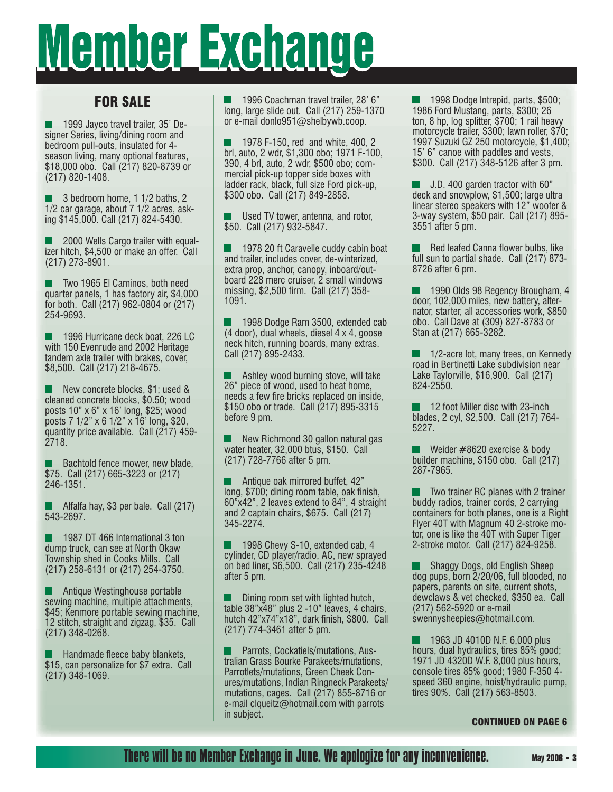# <u> Member Exchange</u>

### FOR SALE

 1999 Jayco travel trailer, 35' Designer Series, living/dining room and bedroom pull-outs, insulated for 4 season living, many optional features, \$18,000 obo. Call (217) 820-8739 or (217) 820-1408.

**3** bedroom home, 1 1/2 baths, 2 1/2 car garage, about 7 1/2 acres, asking \$145,000. Call (217) 824-5430.

 2000 Wells Cargo trailer with equalizer hitch, \$4,500 or make an offer. Call (217) 273-8901.

 Two 1965 El Caminos, both need quarter panels, 1 has factory air, \$4,000 for both. Call (217) 962-0804 or (217) 254-9693.

 1996 Hurricane deck boat, 226 LC with 150 Evenrude and 2002 Heritage tandem axle trailer with brakes, cover, \$8,500. Call (217) 218-4675.

New concrete blocks, \$1; used & cleaned concrete blocks, \$0.50; wood posts 10" x 6" x 16' long, \$25; wood posts 7 1/2" x 6 1/2" x 16' long, \$20, quantity price available. Call (217) 459- 2718.

 Bachtold fence mower, new blade, \$75. Call (217) 665-3223 or (217) 246-1351.

 Alfalfa hay, \$3 per bale. Call (217) 543-2697.

 1987 DT 466 International 3 ton dump truck, can see at North Okaw Township shed in Cooks Mills. Call (217) 258-6131 or (217) 254-3750.

**Antique Westinghouse portable** sewing machine, multiple attachments, \$45; Kenmore portable sewing machine, 12 stitch, straight and zigzag, \$35. Call (217) 348-0268.

 $\blacksquare$  Handmade fleece baby blankets, \$15, can personalize for \$7 extra. Call (217) 348-1069.

 1996 Coachman travel trailer, 28' 6" long, large slide out. Call (217) 259-1370 or e-mail donlo951@shelbywb.coop.

 1978 F-150, red and white, 400, 2 brl, auto, 2 wdr, \$1,300 obo; 1971 F-100, 390, 4 brl, auto, 2 wdr, \$500 obo; commercial pick-up topper side boxes with ladder rack, black, full size Ford pick-up, \$300 obo. Call (217) 849-2858.

 Used TV tower, antenna, and rotor, \$50. Call (217) 932-5847.

1978 20 ft Caravelle cuddy cabin boat and trailer, includes cover, de-winterized, extra prop, anchor, canopy, inboard/outboard 228 merc cruiser, 2 small windows missing, \$2,500 firm. Call (217) 358-1091.

 1998 Dodge Ram 3500, extended cab (4 door), dual wheels, diesel 4 x 4, goose neck hitch, running boards, many extras. Call (217) 895-2433.

 Ashley wood burning stove, will take 26" piece of wood, used to heat home, needs a few fire bricks replaced on inside, \$150 obo or trade. Call (217) 895-3315 before 9 pm.

 New Richmond 30 gallon natural gas water heater, 32,000 btus, \$150. Call (217) 728-7766 after 5 pm.

 Antique oak mirrored buffet, 42" long, \$700; dining room table, oak finish, 60"x42", 2 leaves extend to 84", 4 straight and 2 captain chairs, \$675. Call (217) 345-2274.

 1998 Chevy S-10, extended cab, 4 cylinder, CD player/radio, AC, new sprayed on bed liner, \$6,500. Call (217) 235-4248 after 5 pm.

 Dining room set with lighted hutch, table 38"x48" plus 2 -10" leaves, 4 chairs, hutch  $42$ "x74"x18", dark finish, \$800. Call (217) 774-3461 after 5 pm.

 Parrots, Cockatiels/mutations, Australian Grass Bourke Parakeets/mutations, Parrotlets/mutations, Green Cheek Conures/mutations, Indian Ringneck Parakeets/ mutations, cages. Call (217) 855-8716 or e-mail clqueitz@hotmail.com with parrots in subject.

 1998 Dodge Intrepid, parts, \$500; 1986 Ford Mustang, parts, \$300; 26 ton, 8 hp, log splitter, \$700; 1 rail heavy motorcycle trailer, \$300; lawn roller, \$70; 1997 Suzuki GZ 250 motorcycle, \$1,400; 15' 6" canoe with paddles and vests, \$300. Call (217) 348-5126 after 3 pm.

 J.D. 400 garden tractor with 60" deck and snowplow, \$1,500; large ultra linear stereo speakers with 12" woofer & 3-way system, \$50 pair. Call (217) 895- 3551 after 5 pm.

Red leafed Canna flower bulbs, like full sun to partial shade. Call (217) 873- 8726 after 6 pm.

 1990 Olds 98 Regency Brougham, 4 door, 102,000 miles, new battery, alternator, starter, all accessories work, \$850 obo. Call Dave at (309) 827-8783 or Stan at (217) 665-3282.

 1/2-acre lot, many trees, on Kennedy road in Bertinetti Lake subdivision near Lake Taylorville, \$16,900. Call (217) 824-2550.

 12 foot Miller disc with 23-inch blades, 2 cyl, \$2,500. Call (217) 764- 5227.

 Weider #8620 exercise & body builder machine, \$150 obo. Call (217) 287-7965.

 Two trainer RC planes with 2 trainer buddy radios, trainer cords, 2 carrying containers for both planes, one is a Right Flyer 40T with Magnum 40 2-stroke motor, one is like the 40T with Super Tiger 2-stroke motor. Call (217) 824-9258.

 Shaggy Dogs, old English Sheep dog pups, born 2/20/06, full blooded, no papers, parents on site, current shots, dewclaws & vet checked, \$350 ea. Call (217) 562-5920 or e-mail swennysheepies@hotmail.com.

 1963 JD 4010D N.F. 6,000 plus hours, dual hydraulics, tires 85% good; 1971 JD 4320D W.F. 8,000 plus hours, console tires 85% good; 1980 F-350 4 speed 360 engine, hoist/hydraulic pump, tires 90%. Call (217) 563-8503.

#### CONTINUED ON PAGE 6

### There will be no Member Exchange in June. We apologize for any inconvenience. **May 2006 • 3**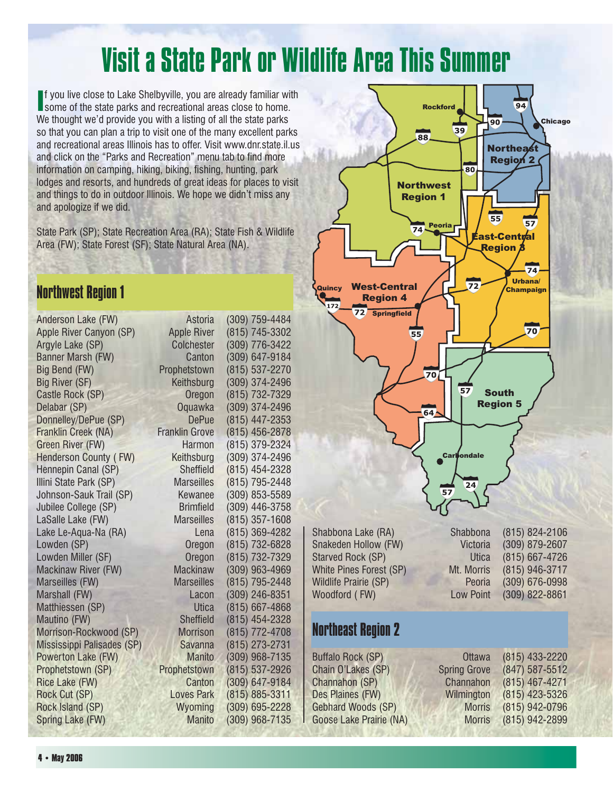# Visit a State Park or Wildlife Area This Summer

If you live close to Lake Shelbyville, you are already familiar with some of the state parks and recreational areas close to home. f you live close to Lake Shelbyville, you are already familiar with We thought we'd provide you with a listing of all the state parks so that you can plan a trip to visit one of the many excellent parks and recreational areas Illinois has to offer. Visit www.dnr.state.il.us and click on the "Parks and Recreation" menu tab to find more information on camping, hiking, biking, fishing, hunting, park lodges and resorts, and hundreds of great ideas for places to visit and things to do in outdoor Illinois. We hope we didn't miss any and apologize if we did.

State Park (SP); State Recreation Area (RA); State Fish & Wildlife Area (FW); State Forest (SF); State Natural Area (NA).

### Northwest Region 1

| Anderson Lake (FW)         | Astoria               | (309) 759-4484   |
|----------------------------|-----------------------|------------------|
| Apple River Canyon (SP)    | <b>Apple River</b>    | (815) 745-3302   |
| Argyle Lake (SP)           | Colchester            | (309) 776-3422   |
| Banner Marsh (FW)          | Canton                | (309) 647-9184   |
| Big Bend (FW)              | Prophetstown          | (815) 537-2270   |
| Big River (SF)             | Keithsburg            | (309) 374-2496   |
| Castle Rock (SP)           | Oregon                | (815) 732-7329   |
| Delabar (SP)               | Oquawka               | (309) 374-2496   |
| Donnelley/DePue (SP)       | <b>DePue</b>          | (815) 447-2353   |
| Franklin Creek (NA)        | <b>Franklin Grove</b> | (815) 456-2878   |
| Green River (FW)           | Harmon                | (815) 379-2324   |
| Henderson County (FW)      | Keithsburg            | (309) 374-2496   |
| Hennepin Canal (SP)        | Sheffield             | (815) 454-2328   |
| Illini State Park (SP)     | <b>Marseilles</b>     | (815) 795-2448   |
| Johnson-Sauk Trail (SP)    | Kewanee               | (309) 853-5589   |
| Jubilee College (SP)       | <b>Brimfield</b>      | (309) 446-3758   |
| LaSalle Lake (FW)          | <b>Marseilles</b>     | $(815)$ 357-1608 |
| Lake Le-Aqua-Na (RA)       | Lena                  | (815) 369-4282   |
| Lowden (SP)                | Oregon                | (815) 732-6828   |
| Lowden Miller (SF)         | Oregon                | (815) 732-7329   |
| Mackinaw River (FW)        | <b>Mackinaw</b>       | (309) 963-4969   |
| Marseilles (FW)            | <b>Marseilles</b>     | (815) 795-2448   |
| Marshall (FW)              | Lacon                 | (309) 246-8351   |
| Matthiessen (SP)           | <b>Utica</b>          | $(815)$ 667-4868 |
| Mautino (FW)               | <b>Sheffield</b>      | (815) 454-2328   |
| Morrison-Rockwood (SP)     | <b>Morrison</b>       | (815) 772-4708   |
| Mississippi Palisades (SP) | Savanna               | (815) 273-2731   |
| Powerton Lake (FW)         | <b>Manito</b>         | (309) 968-7135   |
| Prophetstown (SP)          | Prophetstown          | (815) 537-2926   |
| Rice Lake (FW)             | Canton                | (309) 647-9184   |
| Rock Cut (SP)              | <b>Loves Park</b>     | (815) 885-3311   |
| Rock Island (SP)           | Wyoming               | (309) 695-2228   |
| Spring Lake (FW)           | <b>Manito</b>         | (309) 968-7135   |
|                            |                       |                  |



Snakeden Hollow (FW)

### Northeast Region 2

Buffalo Rock (SP) Chain O'Lakes (SP) Spring Channahon (SP) Channahon (SP) Channahon (SP) Channahon Channahon Channahon Channahon Channahon Channahon Channahon Channahon Channahon Channahon Channahon Channahon Channahon Channahon Channahon Channahon Channahon Channah Des Plaines (FW) Gebhard Woods (SP) Goose Lake Prairie (NA)

Shabbona Lake (RA) Shabbona (815) 824-2106<br>Snakeden Hollow (FW) Shabbona (309) 879-2607 Starved Rock (SP) Utica (815) 667-4726 White Pines Forest (SP) Mt. Morris (815) 946-3717 Wildlife Prairie (SP) Peoria (309) 676-0998 Woodford ( FW) Low Point (309) 822-8861

| )ttawa        | (815) 433-2220 |
|---------------|----------------|
| Grove         | (847) 587-5512 |
| nahon         | (815) 467-4271 |
| ington        | (815) 423-5326 |
| <b>Morris</b> | (815) 942-0796 |
| <b>Morris</b> | (815) 942-2899 |
|               |                |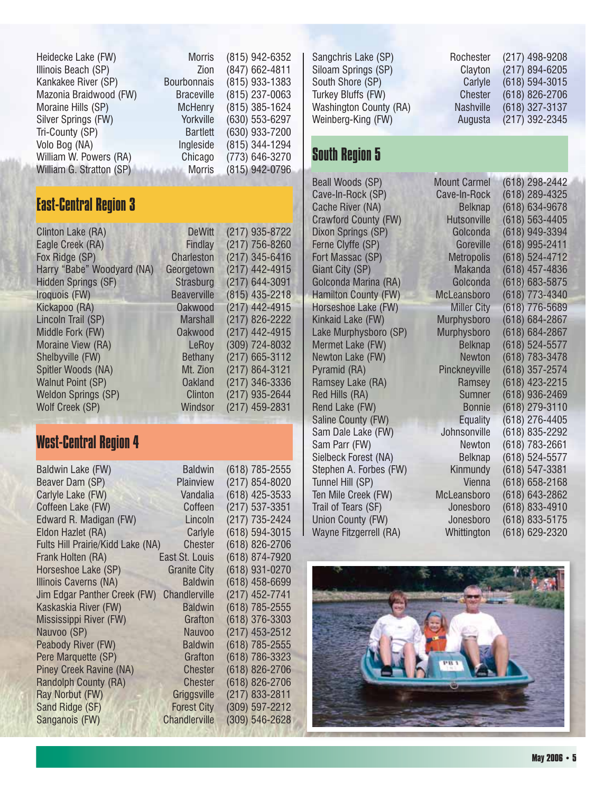| Heidecke Lake (FW)       | <b>Morris</b>      | (815) 942-6352 |
|--------------------------|--------------------|----------------|
| Illinois Beach (SP)      | Zion               | (847) 662-4811 |
| Kankakee River (SP)      | <b>Bourbonnais</b> | (815) 933-1383 |
| Mazonia Braidwood (FW)   | <b>Braceville</b>  | (815) 237-0063 |
| Moraine Hills (SP)       | <b>McHenry</b>     | (815) 385-1624 |
| Silver Springs (FW)      | Yorkville          | (630) 553-6297 |
| Tri-County (SP)          | <b>Bartlett</b>    | (630) 933-7200 |
| Volo Bog (NA)            | Ingleside          | (815) 344-1294 |
| William W. Powers (RA)   | Chicago            | (773) 646-3270 |
| William G. Stratton (SP) | <b>Morris</b>      | (815) 942-0796 |

### East-Central Region 3

| Clinton Lake (RA)<br>Eagle Creek (RA) | <b>DeWitt</b><br><b>Findlay</b> | $(217)$ 935-8722<br>(217) 756-8260 |
|---------------------------------------|---------------------------------|------------------------------------|
| Fox Ridge (SP)                        | <b>Charleston</b>               | (217) 345-6416                     |
| Harry "Babe" Woodyard (NA)            | Georgetown                      | (217) 442-4915                     |
| <b>Hidden Springs (SF)</b>            | Strasburg                       | (217) 644-3091                     |
| Iroquois (FW)                         | <b>Beaverville</b>              | (815) 435-2218                     |
| Kickapoo (RA)                         | <b>Oakwood</b>                  | (217) 442-4915                     |
| Lincoln Trail (SP)                    | <b>Marshall</b>                 | (217) 826-2222                     |
| Middle Fork (FW)                      | <b>Oakwood</b>                  | (217) 442-4915                     |
| Moraine View (RA)                     | LeRoy                           | (309) 724-8032                     |
| Shelbyville (FW)                      | <b>Bethany</b>                  | (217) 665-3112                     |
| Spitler Woods (NA)                    | Mt. Zion                        | (217) 864-3121                     |
| <b>Walnut Point (SP)</b>              | <b>Oakland</b>                  | (217) 346-3336                     |
| <b>Weldon Springs (SP)</b>            | Clinton                         | (217) 935-2644                     |
| Wolf Creek (SP)                       | Windsor                         | (217) 459-2831                     |
|                                       |                                 |                                    |

### West-Central Region 4

| Baldwin Lake (FW)                 | <b>Baldwin</b>       | (618) 785-2555 |
|-----------------------------------|----------------------|----------------|
| Beaver Dam (SP)                   | Plainview            | (217) 854-8020 |
| Carlyle Lake (FW)                 | Vandalia             | (618) 425-3533 |
| Coffeen Lake (FW)                 | Coffeen              | (217) 537-3351 |
| Edward R. Madigan (FW)            | Lincoln              | (217) 735-2424 |
| Eldon Hazlet (RA)                 | Carlyle              | (618) 594-3015 |
| Fults Hill Prairie/Kidd Lake (NA) | <b>Chester</b>       | (618) 826-2706 |
| Frank Holten (RA)                 | East St. Louis       | (618) 874-7920 |
| Horseshoe Lake (SP)               | <b>Granite City</b>  | (618) 931-0270 |
| Illinois Caverns (NA)             | <b>Baldwin</b>       | (618) 458-6699 |
| Jim Edgar Panther Creek (FW)      | <b>Chandlerville</b> | (217) 452-7741 |
| Kaskaskia River (FW)              | <b>Baldwin</b>       | (618) 785-2555 |
| Mississippi River (FW)            | Grafton              | (618) 376-3303 |
| Nauvoo (SP)                       | <b>Nauvoo</b>        | (217) 453-2512 |
| Peabody River (FW)                | <b>Baldwin</b>       | (618) 785-2555 |
| Pere Marquette (SP)               | Grafton              | (618) 786-3323 |
| Piney Creek Ravine (NA)           | <b>Chester</b>       | (618) 826-2706 |
| Randolph County (RA)              | <b>Chester</b>       | (618) 826-2706 |
| Ray Norbut (FW)                   | Griggsville          | (217) 833-2811 |
| Sand Ridge (SF)                   | <b>Forest City</b>   | (309) 597-2212 |
| Sanganois (FW)                    | <b>Chandlerville</b> | (309) 546-2628 |
|                                   |                      |                |

Sangchris Lake (SP) Rochester (217) 498-9208 Siloam Springs (SP)<br>
South Shore (SP)<br>
Carlyle (618) 594-3015 Turkey Bluffs (FW) Washington County (RA) Nashville (618) 327-3137 Weinberg-King (FW) Augusta (217) 392-2345

### South Region 5

Beall Woods (SP) Mount Care Mount Care Mount Care Mount Care Mount Care Mount Care Mount Care Mount Care Mount Cave-In-Rock (SP) Cave Cache River (NA) Crawford County (FW) + Dixon Springs (SP) Ferne Clyffe (SP) Fort Massac (SP) Giant City (SP) Golconda Marina (RA) Hamilton County (FW) McL Horseshoe Lake (FW) Kinkaid Lake (FW) Mur Lake Murphysboro (SP) Mur Mermet Lake (FW) Newton Lake (FW)<br>Pyramid (RA) 783-3278-3478 Pyramid (RA) Ramsey Lake (RA) Red Hills (RA) Rend Lake (FW) Saline County (FW) Equality (618) 276-4405 Sam Dale Lake (FW) Sam Parr (FW) Sielbeck Forest (NA) Stephen A. Forbes (FW) Tunnel Hill (SP)<br>Ten Mile Creek (FW) 658-21616 Ten Mile Creek (FW) Trail of Tears (SF) Union County (FW) Wayne Fitzgerrell (RA) 629-2320

Carlyle (618) 594-3015<br>Chester (618) 826-2706

| nt Carmel                | (618)<br>298-2442 |
|--------------------------|-------------------|
| e-In-Rock                | 289-4325<br>(618) |
| <b>Belknap</b>           | (618)<br>634-9678 |
| utsonville               | (618)<br>563-4405 |
| Golconda                 | (618)<br>949-3394 |
| Goreville                | (618)<br>995-2411 |
| <i><b>Aetropolis</b></i> | (618)<br>524-4712 |
| Makanda                  | (618)<br>457-4836 |
| Golconda                 | (618)<br>683-5875 |
| eansboro                 | (618)<br>773-4340 |
| <b>Miller City</b>       | (618)<br>776-5689 |
| physboro                 | (618)<br>684-2867 |
| physboro                 | (618)<br>684-2867 |
| <b>Belknap</b>           | (618)<br>524-5577 |
| Newton                   | (618)<br>783-3478 |
| ckneyville               | (618)<br>357-2574 |
| Ramsey                   | (618)<br>423-2215 |
| Sumner                   | 936-2469<br>(618) |
| Bonnie                   | (618)<br>279-3110 |
| <b>Equality</b>          | (618)<br>276-4405 |
| าทsonville               | (618)<br>835-2292 |
| Newton                   | (618)<br>783-2661 |
| Belknap                  | (618)<br>524-5577 |
| <b>Kinmundy</b>          | (618)<br>547-3381 |
| Vienna                   | (618)<br>658-2168 |
| eansboro.                | (618)<br>643-2862 |
| onesboro                 | (618)<br>833-4910 |
| onesboro                 | (618)<br>833-5175 |
| hittington               | (618)<br>629-2320 |
|                          |                   |

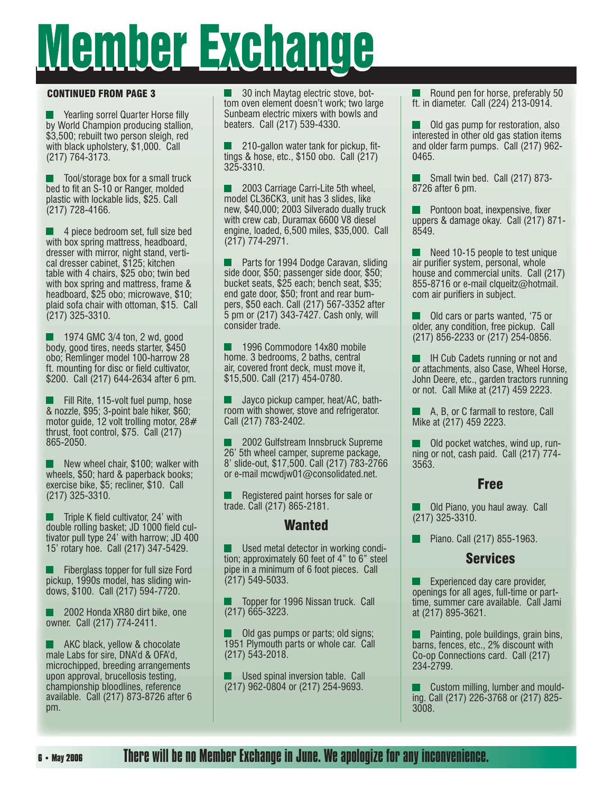# <u>Member Exchange</u>

#### CONTINUED FROM PAGE 3

Yearling sorrel Quarter Horse filly by World Champion producing stallion, \$3,500; rebuilt two person sleigh, red with black upholstery, \$1,000. Call (217) 764-3173.

 Tool/storage box for a small truck bed to fit an S-10 or Ranger, molded plastic with lockable lids, \$25. Call (217) 728-4166.

 4 piece bedroom set, full size bed with box spring mattress, headboard, dresser with mirror, night stand, vertical dresser cabinet, \$125; kitchen table with 4 chairs, \$25 obo; twin bed with box spring and mattress, frame & headboard, \$25 obo; microwave, \$10; plaid sofa chair with ottoman, \$15. Call (217) 325-3310.

 $1974$  GMC 3/4 ton, 2 wd, good body, good tires, needs starter, \$450 obo; Remlinger model 100-harrow 28 ft. mounting for disc or field cultivator, \$200. Call (217) 644-2634 after 6 pm.

 Fill Rite, 115-volt fuel pump, hose & nozzle, \$95; 3-point bale hiker, \$60; motor guide, 12 volt trolling motor, 28# thrust, foot control, \$75. Call (217) 865-2050.

 New wheel chair, \$100; walker with wheels, \$50; hard & paperback books; exercise bike, \$5; recliner, \$10. Call (217) 325-3310.

 $\blacksquare$  Triple K field cultivator, 24' with double rolling basket; JD 1000 field cultivator pull type 24' with harrow; JD 400 15' rotary hoe. Call (217) 347-5429.

 Fiberglass topper for full size Ford pickup, 1990s model, has sliding windows, \$100. Call (217) 594-7720.

 2002 Honda XR80 dirt bike, one owner. Call (217) 774-2411.

AKC black, yellow & chocolate male Labs for sire, DNA'd & OFA'd, microchipped, breeding arrangements upon approval, brucellosis testing, championship bloodlines, reference available. Call (217) 873-8726 after 6 pm.

 30 inch Maytag electric stove, bottom oven element doesn't work; two large Sunbeam electric mixers with bowls and beaters. Call (217) 539-4330.

210-gallon water tank for pickup, fittings & hose, etc., \$150 obo. Call (217) 325-3310.

 2003 Carriage Carri-Lite 5th wheel, model CL36CK3, unit has 3 slides, like new, \$40,000; 2003 Silverado dually truck with crew cab, Duramax 6600 V8 diesel engine, loaded, 6,500 miles, \$35,000. Call (217) 774-2971.

 Parts for 1994 Dodge Caravan, sliding side door, \$50; passenger side door, \$50; bucket seats, \$25 each; bench seat, \$35; end gate door, \$50; front and rear bumpers, \$50 each. Call (217) 567-3352 after 5 pm or (217) 343-7427. Cash only, will consider trade.

 1996 Commodore 14x80 mobile home. 3 bedrooms, 2 baths, central air, covered front deck, must move it, \$15,500. Call (217) 454-0780.

 Jayco pickup camper, heat/AC, bathroom with shower, stove and refrigerator. Call (217) 783-2402.

 2002 Gulfstream Innsbruck Supreme 26' 5th wheel camper, supreme package, 8' slide-out, \$17,500. Call (217) 783-2766 or e-mail mcwdjw01@consolidated.net.

 Registered paint horses for sale or trade. Call (217) 865-2181.

### Wanted

 Used metal detector in working condition; approximately 60 feet of 4" to 6" steel pipe in a minimum of 6 foot pieces. Call (217) 549-5033.

 Topper for 1996 Nissan truck. Call (217) 665-3223.

 Old gas pumps or parts; old signs; 1951 Plymouth parts or whole car. Call (217) 543-2018.

 Used spinal inversion table. Call (217) 962-0804 or (217) 254-9693.

 Round pen for horse, preferably 50 ft. in diameter. Call (224) 213-0914.

 Old gas pump for restoration, also interested in other old gas station items and older farm pumps. Call (217) 962- 0465.

 Small twin bed. Call (217) 873- 8726 after 6 pm.

 $\blacksquare$  Pontoon boat, inexpensive, fixer uppers & damage okay. Call (217) 871- 8549.

 Need 10-15 people to test unique air purifier system, personal, whole house and commercial units. Call (217) 855-8716 or e-mail clqueitz@hotmail. com air purifiers in subject.

 Old cars or parts wanted, '75 or older, any condition, free pickup. Call (217) 856-2233 or (217) 254-0856.

 IH Cub Cadets running or not and or attachments, also Case, Wheel Horse, John Deere, etc., garden tractors running or not. Call Mike at (217) 459 2223.

 A, B, or C farmall to restore, Call Mike at (217) 459 2223.

 Old pocket watches, wind up, running or not, cash paid. Call (217) 774- 3563.

### Free

 Old Piano, you haul away. Call (217) 325-3310.

**Piano. Call (217) 855-1963.** 

### Services

 Experienced day care provider, openings for all ages, full-time or parttime, summer care available. Call Jami at (217) 895-3621.

 Painting, pole buildings, grain bins, barns, fences, etc., 2% discount with Co-op Connections card. Call (217) 234-2799.

**Custom milling, lumber and mould**ing. Call (217) 226-3768 or (217) 825- 3008.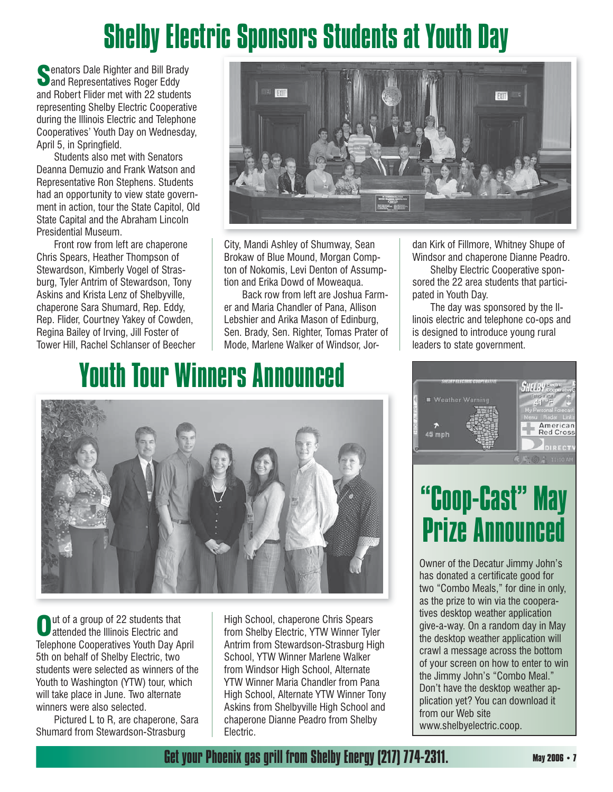# Shelby Electric Sponsors Students at Youth Day

**Senators Dale Righter and Bill Brady<br>
and Representatives Roger Eddy** and Robert Flider met with 22 students representing Shelby Electric Cooperative during the Illinois Electric and Telephone Cooperatives' Youth Day on Wednesday, April 5, in Springfield.

 Students also met with Senators Deanna Demuzio and Frank Watson and Representative Ron Stephens. Students had an opportunity to view state government in action, tour the State Capitol, Old State Capital and the Abraham Lincoln Presidential Museum.

 Front row from left are chaperone Chris Spears, Heather Thompson of Stewardson, Kimberly Vogel of Strasburg, Tyler Antrim of Stewardson, Tony Askins and Krista Lenz of Shelbyville, chaperone Sara Shumard, Rep. Eddy, Rep. Flider, Courtney Yakey of Cowden, Regina Bailey of Irving, Jill Foster of Tower Hill, Rachel Schlanser of Beecher



City, Mandi Ashley of Shumway, Sean Brokaw of Blue Mound, Morgan Compton of Nokomis, Levi Denton of Assumption and Erika Dowd of Moweaqua.

 Back row from left are Joshua Farmer and Maria Chandler of Pana, Allison Lebshier and Arika Mason of Edinburg, Sen. Brady, Sen. Righter, Tomas Prater of Mode, Marlene Walker of Windsor, Jordan Kirk of Fillmore, Whitney Shupe of Windsor and chaperone Dianne Peadro.

 Shelby Electric Cooperative sponsored the 22 area students that participated in Youth Day.

 The day was sponsored by the Illinois electric and telephone co-ops and is designed to introduce young rural leaders to state government.

# Youth Tour Winners Announced



**Out of a group of 22 students that**<br>attended the Illinois Electric and Telephone Cooperatives Youth Day April 5th on behalf of Shelby Electric, two students were selected as winners of the Youth to Washington (YTW) tour, which will take place in June. Two alternate winners were also selected.

 Pictured L to R, are chaperone, Sara Shumard from Stewardson-Strasburg

High School, chaperone Chris Spears from Shelby Electric, YTW Winner Tyler Antrim from Stewardson-Strasburg High School, YTW Winner Marlene Walker from Windsor High School, Alternate YTW Winner Maria Chandler from Pana High School, Alternate YTW Winner Tony Askins from Shelbyville High School and chaperone Dianne Peadro from Shelby Electric.



## "Coop-Cast" May Prize Announced

Owner of the Decatur Jimmy John's has donated a certificate good for two "Combo Meals," for dine in only, as the prize to win via the cooperatives desktop weather application give-a-way. On a random day in May the desktop weather application will crawl a message across the bottom of your screen on how to enter to win the Jimmy John's "Combo Meal." Don't have the desktop weather application yet? You can download it from our Web site www.shelbyelectric.coop.

Get your Phoenix gas grill from Shelby Energy (217) 774-2311. **May 2006 • 7**